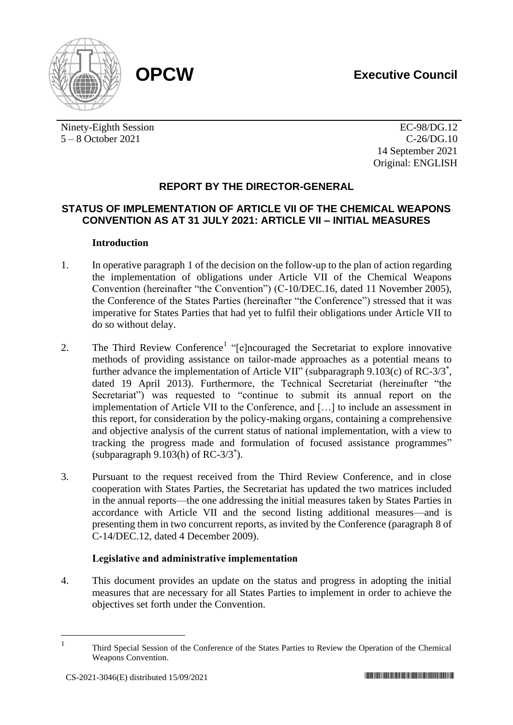



Ninety-Eighth Session 5 – 8 October 2021

EC-98/DG.12 C-26/DG.10 14 September 2021 Original: ENGLISH

# **REPORT BY THE DIRECTOR-GENERAL**

### **STATUS OF IMPLEMENTATION OF ARTICLE VII OF THE CHEMICAL WEAPONS CONVENTION AS AT 31 JULY 2021: ARTICLE VII – INITIAL MEASURES**

### **Introduction**

- 1. In operative paragraph 1 of the decision on the follow-up to the plan of action regarding the implementation of obligations under Article VII of the Chemical Weapons Convention (hereinafter "the Convention") (C-10/DEC.16, dated 11 November 2005), the Conference of the States Parties (hereinafter "the Conference") stressed that it was imperative for States Parties that had yet to fulfil their obligations under Article VII to do so without delay.
- 2. The Third Review Conference<sup>1</sup> "[e]ncouraged the Secretariat to explore innovative methods of providing assistance on tailor-made approaches as a potential means to further advance the implementation of Article VII" (subparagraph 9.103(c) of RC-3/3<sup>\*</sup>, dated 19 April 2013). Furthermore, the Technical Secretariat (hereinafter "the Secretariat") was requested to "continue to submit its annual report on the implementation of Article VII to the Conference, and […] to include an assessment in this report, for consideration by the policy-making organs, containing a comprehensive and objective analysis of the current status of national implementation, with a view to tracking the progress made and formulation of focused assistance programmes" (subparagraph 9.103(h) of RC-3/3\* ).
- 3. Pursuant to the request received from the Third Review Conference, and in close cooperation with States Parties, the Secretariat has updated the two matrices included in the annual reports—the one addressing the initial measures taken by States Parties in accordance with Article VII and the second listing additional measures—and is presenting them in two concurrent reports, as invited by the Conference (paragraph 8 of C-14/DEC.12, dated 4 December 2009).

## **Legislative and administrative implementation**

4. This document provides an update on the status and progress in adopting the initial measures that are necessary for all States Parties to implement in order to achieve the objectives set forth under the Convention.

1

Third Special Session of the Conference of the States Parties to Review the Operation of the Chemical Weapons Convention.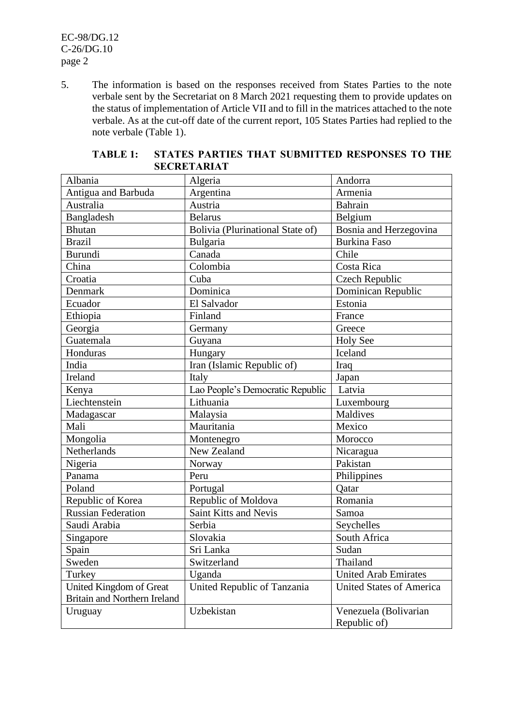EC-98/DG.12 C-26/DG.10 page 2

5. The information is based on the responses received from States Parties to the note verbale sent by the Secretariat on 8 March 2021 requesting them to provide updates on the status of implementation of Article VII and to fill in the matrices attached to the note verbale. As at the cut-off date of the current report, 105 States Parties had replied to the note verbale (Table 1).

| Albania                             | Algeria                          | Andorra                         |
|-------------------------------------|----------------------------------|---------------------------------|
| Antigua and Barbuda                 | Argentina                        | Armenia                         |
| Australia                           | Austria                          | <b>Bahrain</b>                  |
| Bangladesh                          | <b>Belarus</b>                   | Belgium                         |
| <b>Bhutan</b>                       | Bolivia (Plurinational State of) | Bosnia and Herzegovina          |
| <b>Brazil</b>                       | Bulgaria                         | <b>Burkina Faso</b>             |
| <b>Burundi</b>                      | Canada                           | Chile                           |
| China                               | Colombia                         | Costa Rica                      |
| Croatia                             | Cuba                             | <b>Czech Republic</b>           |
| Denmark                             | Dominica                         | Dominican Republic              |
| Ecuador                             | El Salvador                      | Estonia                         |
| Ethiopia                            | Finland                          | France                          |
| Georgia                             | Germany                          | Greece                          |
| Guatemala                           | Guyana                           | <b>Holy See</b>                 |
| Honduras                            | Hungary                          | Iceland                         |
| India                               | Iran (Islamic Republic of)       | Iraq                            |
| Ireland                             | Italy                            | Japan                           |
| Kenya                               | Lao People's Democratic Republic | Latvia                          |
| Liechtenstein                       | Lithuania                        | Luxembourg                      |
| Madagascar                          | Malaysia                         | Maldives                        |
| Mali                                | Mauritania                       | Mexico                          |
| Mongolia                            | Montenegro                       | Morocco                         |
| Netherlands                         | New Zealand                      | Nicaragua                       |
| Nigeria                             | Norway                           | Pakistan                        |
| Panama                              | Peru                             | Philippines                     |
| Poland                              | Portugal                         | Qatar                           |
| Republic of Korea                   | Republic of Moldova              | Romania                         |
| <b>Russian Federation</b>           | Saint Kitts and Nevis            | Samoa                           |
| Saudi Arabia                        | Serbia                           | Seychelles                      |
| Singapore                           | Slovakia                         | South Africa                    |
| Spain                               | Sri Lanka                        | Sudan                           |
| Sweden                              | Switzerland                      | Thailand                        |
| Turkey                              | Uganda                           | <b>United Arab Emirates</b>     |
| United Kingdom of Great             | United Republic of Tanzania      | <b>United States of America</b> |
| <b>Britain and Northern Ireland</b> |                                  |                                 |
| Uruguay                             | Uzbekistan                       | Venezuela (Bolivarian           |
|                                     |                                  | Republic of)                    |

### **TABLE 1: STATES PARTIES THAT SUBMITTED RESPONSES TO THE SECRETARIAT**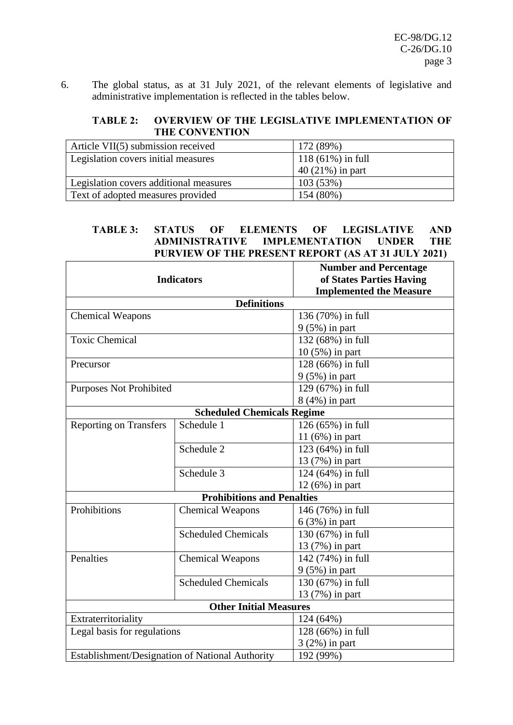6. The global status, as at 31 July 2021, of the relevant elements of legislative and administrative implementation is reflected in the tables below.

# **TABLE 2: OVERVIEW OF THE LEGISLATIVE IMPLEMENTATION OF THE CONVENTION**

| Article $VII(5)$ submission received   | 172 (89%)           |
|----------------------------------------|---------------------|
| Legislation covers initial measures    | $118(61\%)$ in full |
|                                        | $40(21\%)$ in part  |
| Legislation covers additional measures | 103(53%)            |
| Text of adopted measures provided      | 154 (80%)           |

### **TABLE 3: STATUS OF ELEMENTS OF LEGISLATIVE AND IMPLEMENTATION PURVIEW OF THE PRESENT REPORT (AS AT 31 JULY 2021)**

|                                |                                                 | <b>Number and Percentage</b>   |
|--------------------------------|-------------------------------------------------|--------------------------------|
|                                | <b>Indicators</b>                               | of States Parties Having       |
|                                |                                                 | <b>Implemented the Measure</b> |
|                                | <b>Definitions</b>                              |                                |
| <b>Chemical Weapons</b>        |                                                 | 136 (70%) in full              |
|                                |                                                 | $9(5\%)$ in part               |
| <b>Toxic Chemical</b>          |                                                 | 132 (68%) in full              |
|                                |                                                 | 10 (5%) in part                |
| Precursor                      |                                                 | 128 (66%) in full              |
|                                |                                                 | $9(5\%)$ in part               |
| <b>Purposes Not Prohibited</b> |                                                 | 129 (67%) in full              |
|                                |                                                 | 8 (4%) in part                 |
|                                | <b>Scheduled Chemicals Regime</b>               |                                |
| <b>Reporting on Transfers</b>  | Schedule 1                                      | 126 (65%) in full              |
|                                |                                                 | 11 $(6%)$ in part              |
|                                | Schedule 2                                      | 123 (64%) in full              |
|                                |                                                 | 13 (7%) in part                |
|                                | Schedule 3                                      | 124 (64%) in full              |
|                                |                                                 | 12 (6%) in part                |
|                                | <b>Prohibitions and Penalties</b>               |                                |
| Prohibitions                   | <b>Chemical Weapons</b>                         | 146 (76%) in full              |
|                                |                                                 | $6(3%)$ in part                |
|                                | <b>Scheduled Chemicals</b>                      | 130 (67%) in full              |
|                                |                                                 | 13 (7%) in part                |
| Penalties                      | <b>Chemical Weapons</b>                         | 142 (74%) in full              |
|                                |                                                 | $9(5\%)$ in part               |
|                                | <b>Scheduled Chemicals</b>                      | 130 (67%) in full              |
|                                |                                                 | 13 (7%) in part                |
|                                | <b>Other Initial Measures</b>                   |                                |
| Extraterritoriality            |                                                 | 124 (64%)                      |
| Legal basis for regulations    |                                                 | 128 (66%) in full              |
|                                |                                                 | $3(2%)$ in part                |
|                                | Establishment/Designation of National Authority | 192 (99%)                      |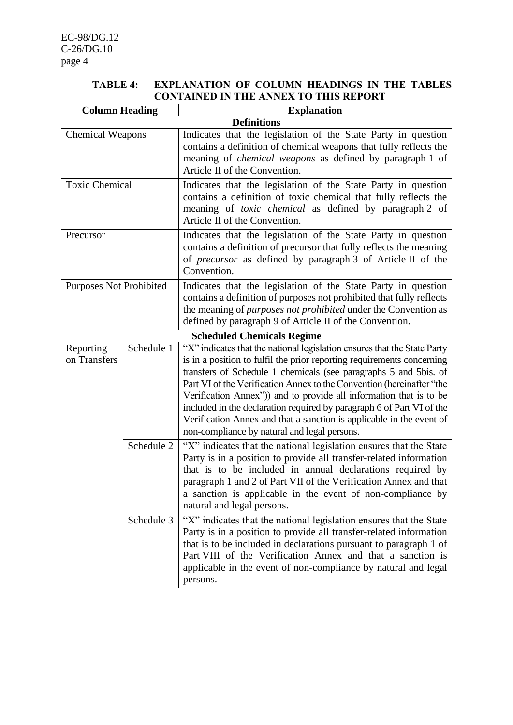### **TABLE 4: EXPLANATION OF COLUMN HEADINGS IN THE TABLES CONTAINED IN THE ANNEX TO THIS REPORT**

| <b>Column Heading</b>          |            | <b>Explanation</b>                                                                                                                                                                                                                                                                                                                                                                                                                                                                                                                                                     |
|--------------------------------|------------|------------------------------------------------------------------------------------------------------------------------------------------------------------------------------------------------------------------------------------------------------------------------------------------------------------------------------------------------------------------------------------------------------------------------------------------------------------------------------------------------------------------------------------------------------------------------|
|                                |            | <b>Definitions</b>                                                                                                                                                                                                                                                                                                                                                                                                                                                                                                                                                     |
| <b>Chemical Weapons</b>        |            | Indicates that the legislation of the State Party in question<br>contains a definition of chemical weapons that fully reflects the<br>meaning of <i>chemical weapons</i> as defined by paragraph 1 of<br>Article II of the Convention.                                                                                                                                                                                                                                                                                                                                 |
| <b>Toxic Chemical</b>          |            | Indicates that the legislation of the State Party in question<br>contains a definition of toxic chemical that fully reflects the<br>meaning of <i>toxic chemical</i> as defined by paragraph 2 of<br>Article II of the Convention.                                                                                                                                                                                                                                                                                                                                     |
| Precursor                      |            | Indicates that the legislation of the State Party in question<br>contains a definition of precursor that fully reflects the meaning<br>of <i>precursor</i> as defined by paragraph 3 of Article II of the<br>Convention.                                                                                                                                                                                                                                                                                                                                               |
| <b>Purposes Not Prohibited</b> |            | Indicates that the legislation of the State Party in question<br>contains a definition of purposes not prohibited that fully reflects<br>the meaning of <i>purposes not prohibited</i> under the Convention as<br>defined by paragraph 9 of Article II of the Convention.                                                                                                                                                                                                                                                                                              |
|                                |            | <b>Scheduled Chemicals Regime</b>                                                                                                                                                                                                                                                                                                                                                                                                                                                                                                                                      |
| Reporting<br>on Transfers      | Schedule 1 | "X" indicates that the national legislation ensures that the State Party<br>is in a position to fulfil the prior reporting requirements concerning<br>transfers of Schedule 1 chemicals (see paragraphs 5 and 5bis. of<br>Part VI of the Verification Annex to the Convention (hereinafter "the<br>Verification Annex")) and to provide all information that is to be<br>included in the declaration required by paragraph 6 of Part VI of the<br>Verification Annex and that a sanction is applicable in the event of<br>non-compliance by natural and legal persons. |
|                                | Schedule 2 | "X" indicates that the national legislation ensures that the State<br>Party is in a position to provide all transfer-related information<br>that is to be included in annual declarations required by<br>paragraph 1 and 2 of Part VII of the Verification Annex and that<br>a sanction is applicable in the event of non-compliance by<br>natural and legal persons.                                                                                                                                                                                                  |
|                                | Schedule 3 | "X" indicates that the national legislation ensures that the State<br>Party is in a position to provide all transfer-related information<br>that is to be included in declarations pursuant to paragraph 1 of<br>Part VIII of the Verification Annex and that a sanction is<br>applicable in the event of non-compliance by natural and legal<br>persons.                                                                                                                                                                                                              |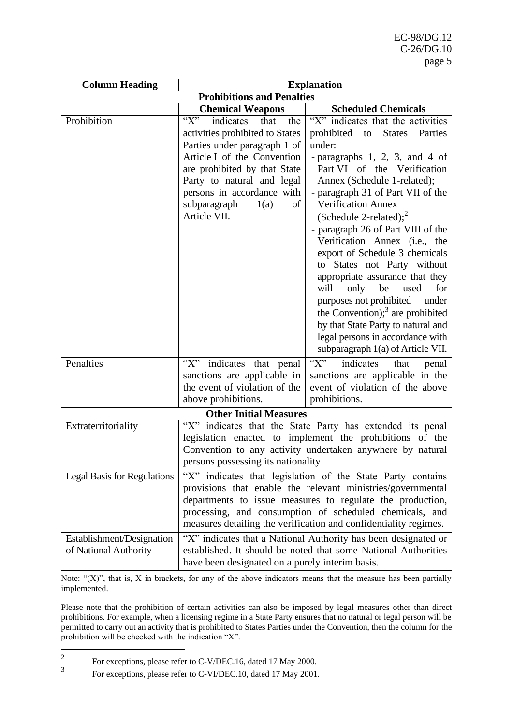| <b>Column Heading</b>                              |                                                                                                                                                                                                                                                                                    | <b>Explanation</b>                                                                                                                                                                                                                                                                                                                                                                                                                                                                                                                                                                                                                                                                                    |
|----------------------------------------------------|------------------------------------------------------------------------------------------------------------------------------------------------------------------------------------------------------------------------------------------------------------------------------------|-------------------------------------------------------------------------------------------------------------------------------------------------------------------------------------------------------------------------------------------------------------------------------------------------------------------------------------------------------------------------------------------------------------------------------------------------------------------------------------------------------------------------------------------------------------------------------------------------------------------------------------------------------------------------------------------------------|
|                                                    | <b>Prohibitions and Penalties</b>                                                                                                                                                                                                                                                  |                                                                                                                                                                                                                                                                                                                                                                                                                                                                                                                                                                                                                                                                                                       |
|                                                    | <b>Chemical Weapons</b>                                                                                                                                                                                                                                                            | <b>Scheduled Chemicals</b>                                                                                                                                                                                                                                                                                                                                                                                                                                                                                                                                                                                                                                                                            |
| Prohibition                                        | $\lq\lq X$<br>indicates<br>that<br>the<br>activities prohibited to States<br>Parties under paragraph 1 of<br>Article I of the Convention<br>are prohibited by that State<br>Party to natural and legal<br>persons in accordance with<br>subparagraph<br>1(a)<br>of<br>Article VII. | "X" indicates that the activities<br>prohibited to<br><b>States</b><br>Parties<br>under:<br>- paragraphs $1, 2, 3,$ and $4$ of<br>Part VI of the Verification<br>Annex (Schedule 1-related);<br>- paragraph 31 of Part VII of the<br><b>Verification Annex</b><br>(Schedule 2-related); $2$<br>- paragraph 26 of Part VIII of the<br>Verification Annex (i.e., the<br>export of Schedule 3 chemicals<br>to States not Party without<br>appropriate assurance that they<br>only<br>be<br>for<br>will<br>used<br>purposes not prohibited<br>under<br>the Convention); $3$ are prohibited<br>by that State Party to natural and<br>legal persons in accordance with<br>subparagraph 1(a) of Article VII. |
| Penalties                                          | "X" indicates that penal<br>sanctions are applicable in<br>the event of violation of the<br>above prohibitions.                                                                                                                                                                    | $\lq\lq X$ "<br>indicates<br>that<br>penal<br>sanctions are applicable in the<br>event of violation of the above<br>prohibitions.                                                                                                                                                                                                                                                                                                                                                                                                                                                                                                                                                                     |
|                                                    | <b>Other Initial Measures</b>                                                                                                                                                                                                                                                      |                                                                                                                                                                                                                                                                                                                                                                                                                                                                                                                                                                                                                                                                                                       |
| Extraterritoriality                                | persons possessing its nationality.                                                                                                                                                                                                                                                | "X" indicates that the State Party has extended its penal<br>legislation enacted to implement the prohibitions of the<br>Convention to any activity undertaken anywhere by natural                                                                                                                                                                                                                                                                                                                                                                                                                                                                                                                    |
| <b>Legal Basis for Regulations</b>                 |                                                                                                                                                                                                                                                                                    | "X" indicates that legislation of the State Party contains<br>provisions that enable the relevant ministries/governmental<br>departments to issue measures to regulate the production,<br>processing, and consumption of scheduled chemicals, and<br>measures detailing the verification and confidentiality regimes.                                                                                                                                                                                                                                                                                                                                                                                 |
| Establishment/Designation<br>of National Authority | have been designated on a purely interim basis.                                                                                                                                                                                                                                    | "X" indicates that a National Authority has been designated or<br>established. It should be noted that some National Authorities                                                                                                                                                                                                                                                                                                                                                                                                                                                                                                                                                                      |

Note: "(X)", that is, X in brackets, for any of the above indicators means that the measure has been partially implemented.

Please note that the prohibition of certain activities can also be imposed by legal measures other than direct prohibitions. For example, when a licensing regime in a State Party ensures that no natural or legal person will be permitted to carry out an activity that is prohibited to States Parties under the Convention, then the column for the prohibition will be checked with the indication "X".

<sup>2</sup> For exceptions, please refer to C-V/DEC.16, dated 17 May 2000.

<sup>3</sup> For exceptions, please refer to C-VI/DEC.10, dated 17 May 2001.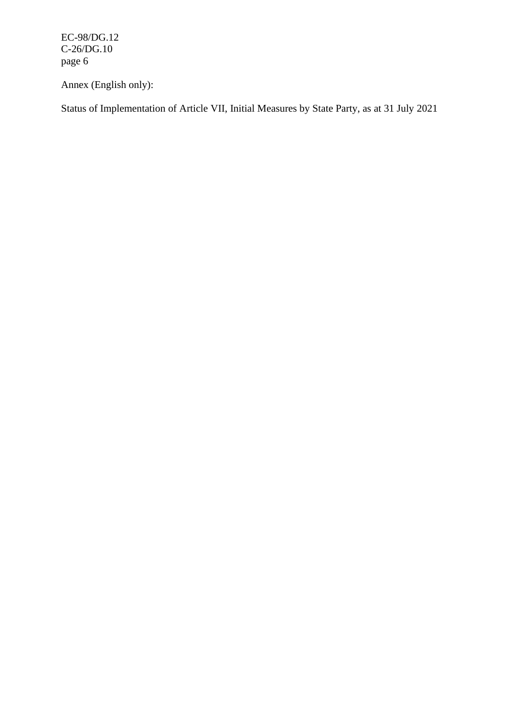EC-98/DG.12 C-26/DG.10 page 6

Annex (English only):

Status of Implementation of Article VII, Initial Measures by State Party, as at 31 July 2021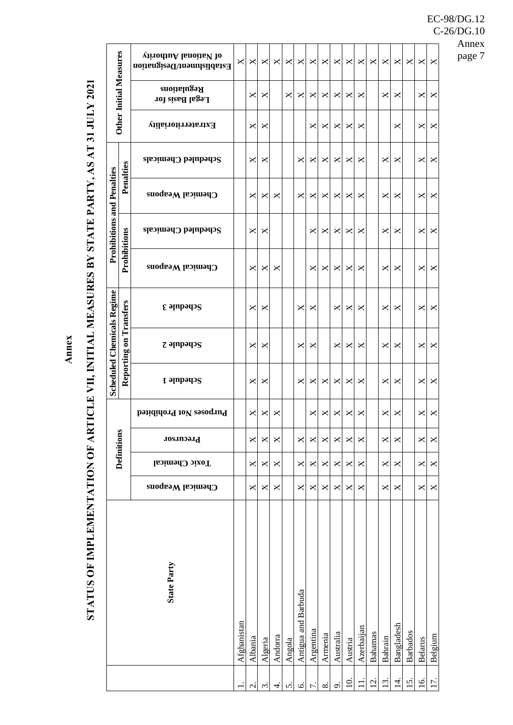**Annex**

# STATUS OF IMPLEMENTATION OF ARTICLE VII, INITIAL MEASURES BY STATE PARTY, AS AT 31 JULY 2021 **STATUS OF IMPLEMENTATION OF ARTICLE VII, INITIAL MEASURES BY STATE PARTY, AS AT 31 JULY 2021**

|                                   |                               | virodiuA lanoiisV 10<br>Establishment/Designation | ×           | ×            | ×       | ×       | ×      | ×                   | ×                         | ×        | ×         | ×              | ×                        | ×                  | ×              | ×          | $\times$           | ×              | ×       |
|-----------------------------------|-------------------------------|---------------------------------------------------|-------------|--------------|---------|---------|--------|---------------------|---------------------------|----------|-----------|----------------|--------------------------|--------------------|----------------|------------|--------------------|----------------|---------|
|                                   | <b>Other Initial Measures</b> | <b>Regulations</b><br>Legal Basis for             |             | X            | ×       |         | X      | ×                   | ×                         | X        | ×         | ×              | ×                        |                    | ×              | ×          |                    | X              | ×       |
|                                   |                               | Extraterritoriality                               |             | X            | ×       |         |        |                     | ×                         | X        | ×         | ×              | ×                        |                    |                | ×          |                    | ×              | ×       |
|                                   |                               | Scheduled Chemicals                               |             | ×            | ×       |         |        | ×                   | ×                         | ×        | ×         | ×              | ×                        |                    | ×              | ×          |                    | ×              | ×       |
|                                   | Penalties                     | Chemical Weapons                                  |             | X            | ×       | ×       |        | ×                   | ×                         | ×        | ×         | ×              | ×                        |                    | ×              | ×          |                    | ×              | ×       |
| <b>Prohibitions and Penalties</b> |                               | Scheduled Chemicals                               |             | X            | ×       |         |        |                     | ×                         | ×        | ×         | ×              | ×                        |                    | ×              | ×          |                    | ×              | ×       |
|                                   | Prohibitions                  | Chemical Weapons                                  |             | ×            | ×       | ×       |        |                     | X                         | ×        | ×         | ×              | ×                        |                    | ×              | ×          |                    | ×              | ×       |
|                                   | Transfers                     | $\epsilon$ ə $\mu$ pə $\mu$ ə $\kappa$            |             | ×            | ×       |         |        | ×                   | ×                         |          | ×         | ×              | ×                        |                    | ×              | ×          |                    | ×              | ×       |
| <b>Scheduled Chemicals Regime</b> | $\overline{\mathbf{g}}$       | $z$ ə $np$ əyə $s$                                |             | ×            | ×       |         |        | ×                   | ×                         |          | ×         | ×              | ×                        |                    | ×              | ×          |                    | ×              | ×       |
|                                   | Reporting                     | Schedule 1                                        |             | ×            | ×       |         |        | ×                   | ×                         | ×        | ×         | ×              | ×                        |                    | ×              | ×          |                    | ×              | ×       |
|                                   |                               | Purposes Not Prohibited                           |             | ×            | ×       | ×       |        |                     | ×                         | ×        | ×         | ×              | ×                        |                    | ×              | ×          |                    | ×              | ×       |
|                                   | Definitions                   | Precursor                                         |             | X            | X       | ×       |        | X                   | $\boldsymbol{\mathsf{X}}$ | X        | ×         | X              | $\bowtie$                |                    | X              | X          |                    | X              | ×       |
|                                   |                               | <b>Toxic Chemical</b>                             |             | ×            | ×       | ×       |        | ×                   | ×                         | ×        | ×         | ×              | ×                        |                    | ×              | ×          |                    | ×              | ×       |
|                                   |                               | Chemical Weapons                                  |             | X            | ×       | ×       |        | ×                   | ×                         | X        | ×         | ×              | ×                        |                    | ×              | ×          |                    | X              | ×       |
|                                   |                               | <b>State Party</b>                                | Afghanistan | Albania      | Algeria | Andorra | Angola | Antigua and Barbuda | Argentina                 | Armenia  | Australia | Austria        | Azerbaijan               | Bahamas            | Bahrain        | Bangladesh | <b>Barbados</b>    | <b>Belarus</b> | Belgium |
|                                   |                               |                                                   |             | $\dot{\sim}$ | $\sim$  | ₹       | s.     | Ġ                   |                           | $\infty$ | ö         | $\overline{0}$ | $\overline{\phantom{a}}$ | $\dot{\mathbf{c}}$ | $\dot{\omega}$ | 4          | $\dot{\mathbf{c}}$ | $\overline{6}$ | L.      |

EC-98/DG.12 C-26/DG.10 Annex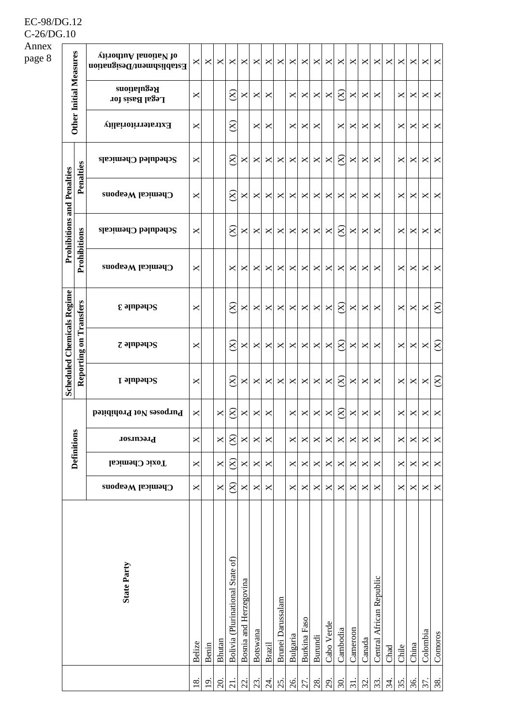|                                   |                               | virodiuA lanoiiaV 10<br>Establishment/Designation | ×                   | ×                   | ×      | ×                                | X                      | X              | ×             | ×                        | $\times$ | ×            | X            | ×          | $\times$                 | ×                 | ×      | $\boldsymbol{\mathsf{X}}$ | ×    | ×     | ×        | $\bowtie$ | X         |
|-----------------------------------|-------------------------------|---------------------------------------------------|---------------------|---------------------|--------|----------------------------------|------------------------|----------------|---------------|--------------------------|----------|--------------|--------------|------------|--------------------------|-------------------|--------|---------------------------|------|-------|----------|-----------|-----------|
|                                   | <b>Other Initial Measures</b> | <b>Regulations</b><br>Legal Basis for             | ×                   |                     |        | $\otimes$                        | X                      | ×              | ×             |                          | ×        | ×            | X            | ×          | $\otimes$                | ×                 | ×      | $\times$                  |      | ×     | ×        | ×         | ×         |
|                                   |                               | Extraterritoriality                               | ×                   |                     |        | $\otimes$                        |                        | $\mathsf{x}$   | ×             |                          | ×        | ×            | ×            |            | ×                        | ×                 | ×      | ×                         |      | ×     | ×        | ×         | ×         |
|                                   |                               | $S$ cheduled Chemicals                            | ×                   |                     |        | $\otimes$                        | X                      | ×              | ×             | ×                        | ×        | ×            | ×            | ×          | $\otimes$                | ×                 | ×      | X                         |      | ×     | ×        | ×         | ×         |
|                                   | Penalties                     | Chemical Weapons                                  | ×                   |                     |        | $\otimes$                        | X                      | $\pmb{\times}$ | ×             | ×                        | ×        | ×            | X            | ×          | X                        | ×                 | ×      | X                         |      | ×     | ×        | ×         | X         |
| <b>Prohibitions and Penalties</b> |                               | Scheduled Chemicals                               | ×                   |                     |        | $\otimes$                        | ×                      | ×              | ×             | ×                        | ×        | ×            | ×            | ×          | $\otimes$                | ×                 | ×      | ×                         |      | ×     | ×        | ×         | ×         |
|                                   | Prohibitions                  | Chemical Weapons                                  | ×                   |                     |        | ×                                | ×                      | ×              | ×             | ×                        | ×        | ×            | ×            | ×          | X                        | ×                 | ×      | X                         |      | ×     | ×        | ×         | X         |
|                                   | Transfers                     | $\epsilon$ ə $\mu$ pə $\mu$ ə $\kappa$            | ×                   |                     |        | $\otimes$                        | ×                      | $\times$       | ×             | ×                        | ×        | ×            | ×            | ×          | $\otimes$                | ×                 | ×      | ×                         |      | ×     | ×        | ×         | $\otimes$ |
| <b>Scheduled Chemicals Regime</b> |                               | $z$ ə $np$ əyə $s$                                | ×                   |                     |        | $\otimes$                        | X                      | ×              | ×             | ×                        | ×        | ×            | ×            | ×          | $\approx$                | ×                 | ×      | X                         |      | ×     | ×        | ×         | $\otimes$ |
|                                   | Reporting on                  | Schedule 1                                        | ×                   |                     |        | $\otimes$                        | ×                      | ×              | ×             | ×                        | ×        | ×            | X            | ×          | $\otimes$                | ×                 | ×      | ×                         |      | ×     | ×        | $\Join$   | $\otimes$ |
|                                   |                               | Purposes Not Prohibited                           | ×                   |                     | X      | $\otimes$                        | ×                      | ×              | ×             |                          | ×        | ×            | ×            | ×          | $\widetilde{\mathbf{X}}$ | ×                 | ×      | ×                         |      | ×     | ×        | ×         | ×         |
|                                   | <b>Definitions</b>            | Precursor                                         | ×                   |                     | ×      | $\otimes$                        | X                      | ×              | X             |                          | ×        | ×            | $\mathsf{X}$ | ×          | $\times$                 | ×                 | ×      | X                         |      | X     | $\times$ | ×         | ×         |
|                                   |                               | <b>Toxic Chemical</b>                             | ×                   |                     | X      | $\otimes$                        | X                      | ×              | ×             |                          | ×        | ×            | ×            | ×          | ×                        | ×                 | ×      | ×                         |      | ×     | ×        | ×         | ×         |
|                                   |                               | Chemical Weapons                                  | ×                   |                     | ×      | $\otimes$                        | X                      | $\times$       | ×             |                          | ×        | ×            | ×            | ×          | ×                        | ×                 | ×      | ×                         |      | ×     | ×        | ×         | ×         |
|                                   |                               | <b>State Party</b>                                | Belize              | Benin               | Bhutan | Bolivia (Plurinational State of) | Bosnia and Herzegovina | Botswana       | <b>Brazil</b> | <b>Brunei</b> Darussalam | Bulgaria | Burkina Faso | Burundi      | Cabo Verde | Cambodia                 | Cameroon          | Canada | Central African Republic  | Chad | Chile | China    | Colombia  | Comoros   |
|                                   |                               |                                                   | $\overline{\infty}$ | $\overline{\omega}$ | 20.    | $\overline{21}$ .                | $22$ .                 | 23.            | 24.           | 25.                      | 26.      | 27.          | 28.          | 29.        | 30.                      | $\overline{31}$ . | 32.    | 33.                       | 34.  | 35.   | 36.      | 37.       | 38.       |

EC-98/DG.12  $C-26/DG.10$ Annex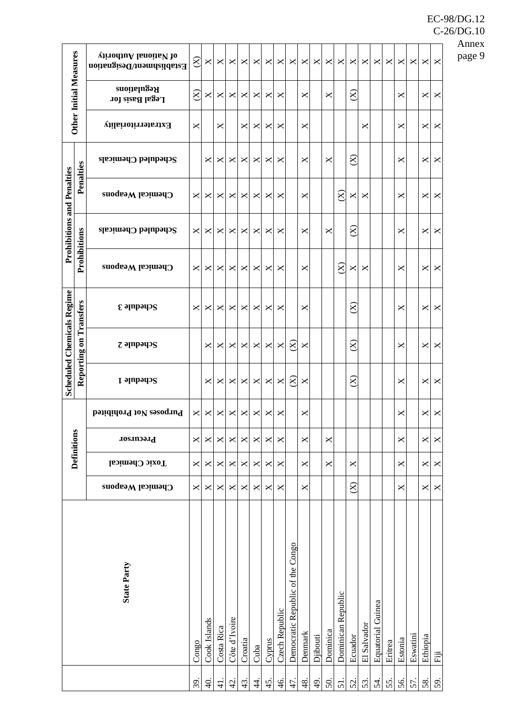|                                   |                               | virodiuA lanoiisV 10<br>Establishment/Designation | $\otimes$  | ×              | ×             | ×             | ×              | ×         | ×      | ×              | ×                                | ×            | ×             | ×        | ×                  | ×         | ×           | ×                 | ×       | ×       | ×        | ×              | ×   |
|-----------------------------------|-------------------------------|---------------------------------------------------|------------|----------------|---------------|---------------|----------------|-----------|--------|----------------|----------------------------------|--------------|---------------|----------|--------------------|-----------|-------------|-------------------|---------|---------|----------|----------------|-----|
|                                   | <b>Other Initial Measures</b> | <b>Regulations</b><br>Legal Basis for             | $(\Sigma)$ | ×              | ×             | ×             | ×              | ×         | ×      | ×              |                                  | ×            |               | ×        |                    | $\otimes$ |             |                   |         | ×       |          | ×              | ×   |
|                                   |                               | Extraterritoriality                               | ×          |                | ×             |               | ×              | ×         | ×      | ×              |                                  | ×            |               |          |                    |           | ×           |                   |         | ×       |          | ×              | ×   |
|                                   |                               | $S$ cheduled Chemicals                            |            | ×              | ×             | $\times$      | ×              | ×         | ×      | ×              |                                  | ×            |               | ×        |                    | $\otimes$ |             |                   |         | ×       |          | ×              | ×   |
|                                   | Penalties                     | Chemical Weapons                                  | ×          | ×              | ×             | ×             | ×              | ×         | ×      | ×              |                                  | ×            |               |          | $\otimes$          | ×         | ×           |                   |         | ×       |          | X              | ×   |
| <b>Prohibitions and Penalties</b> |                               | Scheduled Chemicals                               | ×          | ×              | ×             | $\times$      | ×              | ×         | ×      | ×              |                                  | ×            |               | ×        |                    | $\otimes$ |             |                   |         | ×       |          | ×              | ×   |
|                                   | Prohibitions                  | Chemical Weapons                                  | ×          | ×              | ×             | ×             | ×              | ×         | ×      | ×              |                                  | ×            |               |          | $\otimes$          | ×         | ×           |                   |         | ×       |          | ×              | ×   |
|                                   | Transfers                     | $\epsilon$ əlubədə $\epsilon$                     | ×          | ×              | ×             | ×             | ×              | ×         | ×      | ×              |                                  | ×            |               |          |                    | $\otimes$ |             |                   |         | ×       |          | ×              | ×   |
| <b>Scheduled Chemicals Regime</b> |                               | $z$ ə $np$ əyə $s$                                |            | ×              | ×             | ×             | ×              | ×         | ×      | ×              | $\otimes$                        | ×            |               |          |                    | $\approx$ |             |                   |         | ×       |          | ×              | ×   |
|                                   | Reporting on                  | Schedule 1                                        |            | ×              | ×             | $\times$      | ×              | ×         | ×      | ×              | 8)                               | ×            |               |          |                    | $\approx$ |             |                   |         | ×       |          | $\times$       | ×   |
|                                   |                               | Purposes Not Prohibited                           | ×          | ×              | ×             | ×             | ×              | ×         | ×      | ×              |                                  | ×            |               |          |                    |           |             |                   |         | ×       |          | ×              | ×   |
|                                   | <b>Definitions</b>            | Precursor                                         | X          | ×              | X             | X             | $\pmb{\times}$ | ×         | X      | X              |                                  | $\mathsf{X}$ |               | X        |                    |           |             |                   |         | X       |          | $\mathsf{X}$   | X   |
|                                   |                               | <b>Toxic Chemical</b>                             | ×          | ×              | ×             | $\times$      | $\pmb{\times}$ | ×         | ×      | X              |                                  | X            |               | ×        |                    | ×         |             |                   |         | ×       |          | ×              | X   |
|                                   |                               | Chemical Weapons                                  | X          | ×              | $\bowtie$     | $\times$      | ×              | ×         | ×      | ×              |                                  | $\mathsf{X}$ |               |          |                    | $\otimes$ |             |                   |         | ×       |          | $\pmb{\times}$ | X   |
|                                   |                               | <b>State Party</b>                                | Congo      | Cook Islands   | Costa Rica    | Côte d'Ivoire | Croatia        | Cuba      | Cyprus | Czech Republic | Democratic Republic of the Congo | Denmark      | Djibouti      | Dominica | Dominican Republic | Ecuador   | El Salvador | Equatorial Guinea | Eritrea | Estonia | Eswatini | Ethiopia       | ËÏ  |
|                                   |                               |                                                   | 39.        | $\overline{4}$ | $\frac{1}{4}$ | $\frac{1}{4}$ | 43.            | $\dot{4}$ | 45.    | 46.            | 47.                              | $48$ .       | $\frac{9}{4}$ | 50.      | $\overline{5}$     | 52.       | 53.         | 54.               | 55.     | 56.     | 57.      | 58.            | 59. |

Annex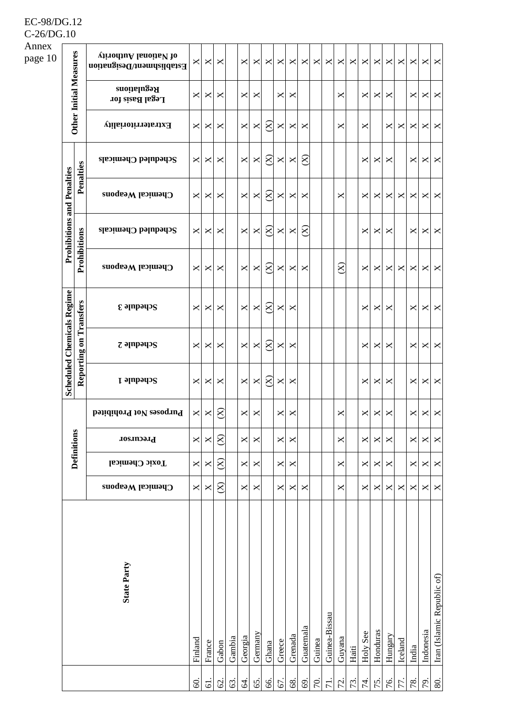| Annex<br>page 10 |                                   |                        | virodiuA lanoiisV 10<br>Establishment/Designation | ×              | ×              | ×         |        | X            | ×        | ×           | X      | ×        | ×         | ×      | ×                | ×         | ×     | ×              | ×        | ×        | ×        | ×              | ×              | X                          |
|------------------|-----------------------------------|------------------------|---------------------------------------------------|----------------|----------------|-----------|--------|--------------|----------|-------------|--------|----------|-----------|--------|------------------|-----------|-------|----------------|----------|----------|----------|----------------|----------------|----------------------------|
|                  |                                   | Other Initial Measures | <b>Regulations</b><br>Legal Basis for             | ×              | ×              | ×         |        | X            | ×        |             | ×      | ×        |           |        |                  | ×         |       | ×              | ×        | ×        |          | ×              | $\bowtie$      | X                          |
|                  |                                   |                        | Extraterritoriality                               | ×              | ×              | ×         |        | X            | ×        | $\infty$    | X      | ×        | ×         |        |                  | ×         |       | ×              |          | ×        | ×        | ×              | $\bowtie$      | X                          |
|                  |                                   |                        | Scheduled Chemicals                               | ×              | ×              | ×         |        | $\times$     | $\times$ | $\infty$    | X      | $\times$ | $\otimes$ |        |                  |           |       | ×              | ×        | ×        |          | ×              | $\bowtie$      | $\times$                   |
|                  |                                   | Penalties              | Chemical Weapons                                  | ×              | ×              | ×         |        | $\times$     | $\times$ | $\infty$    | ×      | ×        | X         |        |                  | ×         |       | ×              | ×        | ×        | ×        | ×              | $\bowtie$      | $\boldsymbol{\mathsf{X}}$  |
|                  | <b>Prohibitions and Penalties</b> |                        | Scheduled Chemicals                               | ×              | ×              | ×         |        | X            | ×        | $8^{\circ}$ | X      | $\times$ | $\otimes$ |        |                  |           |       | ×              | ×        | ×        |          | ×              | $\Join$ $\mid$ | X                          |
|                  |                                   | Prohibitions           | Chemical Weapons                                  | ×              | ×              | ×         |        | X            | $\times$ | $\infty$    | ×      | ×        | ×         |        |                  | $\otimes$ |       | X              | ×        | ×        | ×        | ×              | $\bowtie$      | $\mathsf{X}$               |
|                  |                                   | Transfers              | $\epsilon$ ə $\mu$ pə $\mu$ ə $\kappa$            | ×              | ×              | ×         |        | $\times$     | X        | $\infty$    | ×      | $\times$ |           |        |                  |           |       | X              | ×        | X        |          | ×              |                | $\times$ $\times$          |
|                  | <b>Scheduled Chemicals Regime</b> | Reporting on           | $z$ ə $np$ əyə $s$                                | ×              | ×              | ×         |        | X            | $\times$ | $\infty$    | X      | $\times$ |           |        |                  |           |       | ×              | ×        | ×        |          | ×              | ×ı             | $\mathsf{X}$               |
|                  |                                   |                        | Schedule 1                                        | ×              | ×              | ×         |        | X            | $\times$ | $8^{\circ}$ | ×      | $\times$ |           |        |                  |           |       | ×              | ×        | ×        |          | ×              | ⊠              | $\mathsf{X}$               |
|                  |                                   |                        | Purposes Not Prohibited                           | $\pmb{\times}$ | X              | $\infty$  |        | ×            | $\times$ |             | ×      | ×        |           |        |                  | ×         |       | ×              | ×        | ×        |          | $\pmb{\times}$ | $\bowtie$      | $\times$                   |
|                  |                                   | <b>Definitions</b>     | Precursor                                         | $\pmb{\times}$ | X              | $\otimes$ |        | X            | $\times$ |             | X      | $\times$ |           |        |                  | ×         |       | $\pmb{\times}$ | X        | X        |          | ×              | $\times$       | X                          |
|                  |                                   |                        | Toxic Chemical                                    | X              | $\pmb{\times}$ | $\otimes$ |        | $\mathsf{X}$ | ×        |             | X      | $\times$ |           |        |                  | X         |       | ×              | ×        | $\times$ |          | ×              | ×              | X                          |
|                  |                                   |                        | Chemical Weapons                                  | ×              | X              | $\otimes$ |        | $\mathsf{X}$ | ×        |             | X      | X        | X         |        |                  | ×         |       | X              | X        | $\times$ | $\times$ | ×              | ×              | X                          |
|                  |                                   |                        | <b>State Party</b>                                | Finland        | France         | Gabon     | Gambia | Georgia      | Germany  | Ghana       | Greece | Grenada  | Guatemala | Guinea | Guinea-Bissau    | Guyana    | Haiti | Holy See       | Honduras | Hungary  | Iceland  | India          | Indonesia      | Iran (Islamic Republic of) |
|                  |                                   |                        |                                                   | $\mathcal{S}$  | 61.            | 62.       | 63.    | Ŝ.           | 65.      | 66.         | 67.    | 68.      | 69.       | 70.    | $\overline{7}$ . | 72.       | 73.   | 74.            | 75.      | 76.      | 77.      | 78.            | 79.            | 80                         |

EC-98/DG.12  $C-26/DG.10$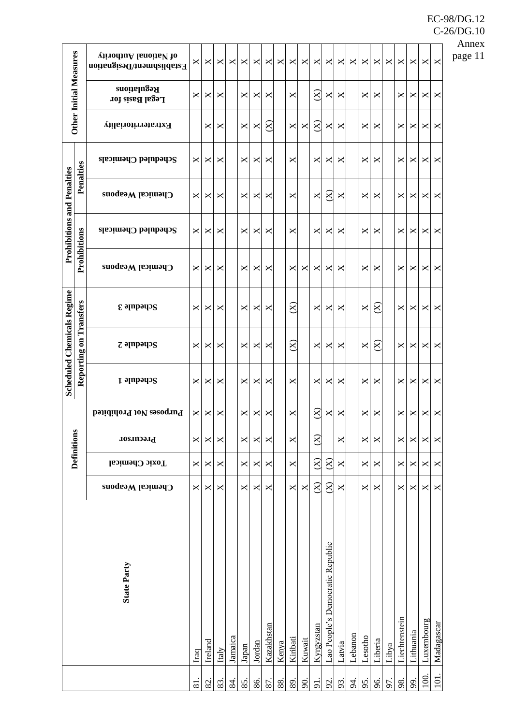|                                   |                               | virodiuA lanoiiaV 10<br>Establishment/Designation | ×            | ×       | ×     | X       | $\times$       | ×      | ×          | ×     | ×                      | ×              | ×              | ×                                | ×        | $\times$   | ×       | X                        | $\times$ | ×             | ×         | ×          | ×          |
|-----------------------------------|-------------------------------|---------------------------------------------------|--------------|---------|-------|---------|----------------|--------|------------|-------|------------------------|----------------|----------------|----------------------------------|----------|------------|---------|--------------------------|----------|---------------|-----------|------------|------------|
|                                   | <b>Other Initial Measures</b> | <b>Regulations</b><br>Legal Basis for             | ×            | ×       | ×     |         | X              | ×      | ×          |       | ×                      |                | $\otimes$      | ×                                | ×        |            | ×       | ×                        |          | ×             | ×         | ×          | ×          |
|                                   |                               | Extraterritoriality                               |              | ×       | ×     |         | ×              | ×      | $8\,$      |       | ×                      | ×              | $\otimes$      | ×                                | ×        |            | ×       | ×                        |          | ×             | ×         | ×          | ×          |
|                                   |                               | Scheduled Chemicals                               | ×            | ×       | ×     |         | $\times$       | ×      | ×          |       | ×                      |                | ×              | ×                                | ×        |            | ×       | ×                        |          | ×             | ×         | ×          | ×          |
|                                   | Penalties                     | Chemical Weapons                                  | ×            | ×       | ×     |         | ×              | ×      | ×          |       | ×                      |                | ×              | $\otimes$                        | X        |            | ×       | ×                        |          | ×             | ×         | ×          | ×          |
| <b>Prohibitions and Penalties</b> |                               | Scheduled Chemicals                               | ×            | ×       | ×     |         | ×              | ×      | ×          |       | ×                      |                | ×              | ×                                | ×        |            | ×       | ×                        |          | ×             | ×         | ×          | ×          |
|                                   | Prohibitions                  | Chemical Weapons                                  | ×            | ×       | ×     |         | ×              | ×      | ×          |       | ×                      | ×              | ×              | ×                                | ×        |            | ×       | ×                        |          | ×             | ×         | ×          | ×          |
|                                   | Transfers                     | $\epsilon$ ə $\mu$ pə $\eta$ s                    | ×            | ×       | ×     |         | ×              | ×      | ×          |       | $\otimes$              |                | ×              | ×                                | ×        |            | ×       | $\otimes$                |          | X             | ×         | ×          | ×          |
| <b>Scheduled Chemicals Regime</b> |                               | $z$ ə $np$ əyə $s$                                | ×            | ×       | ×     |         | ×              | ×      | ×          |       | $\rm \overline{\rm 8}$ |                | X              | ×                                | ×        |            | ×       | $\widetilde{\mathbf{X}}$ |          | ×             | ×         | ×          | ×          |
|                                   | Reporting on                  | Schedule 1                                        | ×            | ×       | ×     |         | ×              | ×      | ×          |       | ×                      |                | ×              | ×                                | ×        |            | ×       | ×                        |          | ×             | ×         | ×          | ×          |
|                                   |                               | Purposes Not Prohibited                           | ×            | ×       | ×     |         | ×              | ×      | ×          |       | ×                      |                | $8\,$          | ×                                | ×        |            | ×       | ×                        |          | ×             | ×         | ×          | ×          |
|                                   | <b>Definitions</b>            | Precursor                                         | $\mathsf{X}$ | X       | X     |         | $\pmb{\times}$ | ×      | ×          |       | X                      |                | $\otimes$      |                                  | $\times$ |            | ×       | X                        |          | X             | X         | X          | ×          |
|                                   |                               | <b>Toxic Chemical</b>                             | ×            | ×       | X     |         | ×              | ×      | ×          |       | X                      |                | $\otimes$      | $\otimes$                        | X        |            | ×       | ×                        |          | ×             | ×         | ×          | ×          |
|                                   |                               | Chemical Weapons                                  | $\bowtie$    | ×       | X     |         | ×              | ×      | ×          |       | ×                      | $\pmb{\times}$ | $\otimes$      | $\otimes$                        | ×        |            | ×       | ×                        |          | ×             | ×         | ×          | ×          |
|                                   |                               | <b>State Party</b>                                | Iraq         | Ireland | Italy | Jamaica | Japan          | Jordan | Kazakhstan | Kenya | Kiribati               | Kuwait         | Kyrgyzstan     | Lao People's Democratic Republic | Latvia   | Lebanon    | Lesotho | Liberia                  | Libya    | Liechtenstein | Lithuania | Luxembourg | Madagascar |
|                                   |                               |                                                   | 81.          | 82.     | 83.   | 84.     | 85.            | 86.    | 87.        | 88.   | 89.                    | $\infty$       | $\overline{5}$ | 92.                              | 93.      | $\ddot{a}$ | 95.     | 96.                      | 57.      | 98.           | 99.       | 100        | 101.       |

 $C-26/DG.10$ Annex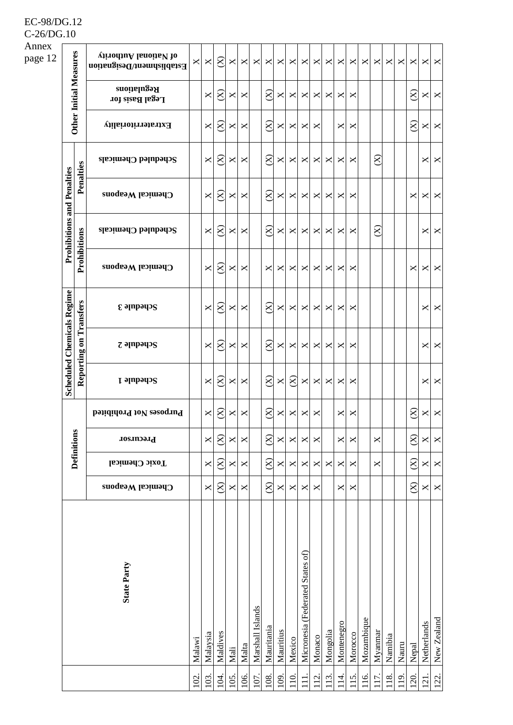| Annex   |                                   |              |                                                   |                                                                                       |                       |           |      |                       |                  |             |           |           |                                  |                       |                 |                       |            |            |         |         |       |           |                   |                   |
|---------|-----------------------------------|--------------|---------------------------------------------------|---------------------------------------------------------------------------------------|-----------------------|-----------|------|-----------------------|------------------|-------------|-----------|-----------|----------------------------------|-----------------------|-----------------|-----------------------|------------|------------|---------|---------|-------|-----------|-------------------|-------------------|
| page 12 |                                   |              | virodiuA lanoiisV to<br>Establishment/Designation | $\mathsf{X}% _{T}=\mathsf{Y}_{T}\!\left( a,b\right) ,\ \mathsf{Y}_{T}=\mathsf{Y}_{T}$ | ×                     | $\otimes$ | ×    | ×                     | ×                | ×           | ×         | X         | ×                                | ×                     | ×               | $\times$              | ×          | ×          | X       | ×       | ×     | ×         | $\times$ $\times$ |                   |
|         | <b>Other Initial Measures</b>     |              | <b>Regulations</b><br>Legal Basis for             |                                                                                       | ×                     | $\otimes$ | ×    | X                     |                  | $8^{\circ}$ | ×         | ×         | ×                                | ×                     | ×               | ×                     | ×          |            |         |         |       | $\approx$ | $\Join$ $\mid$    | X                 |
|         |                                   |              | Extraterritoriality                               |                                                                                       | ×                     | $\otimes$ | ×    | ×                     |                  | $\otimes$   | ×         | ×         | ×                                | ×                     |                 | $\times$              | ×          |            |         |         |       | $\otimes$ | ×                 | $\mathsf{X}$      |
|         |                                   |              | $S$ cheduled Chemicals                            |                                                                                       | ×                     | $\otimes$ | ×    | ×                     |                  | $\otimes$   | ×         | ×         | ×                                | ×                     | ×               | $\times$              | ×          |            | $8\,$   |         |       |           |                   | $\times$          |
|         |                                   | Penalties    | Chemical Weapons                                  |                                                                                       | $\times$              | $\otimes$ | ×    | X                     |                  | $\otimes$   | ×         | ×         | ×                                | ×                     | ×               | $\times$              | ×          |            |         |         |       | ×         |                   | $\times$ $\times$ |
|         | <b>Prohibitions and Penalties</b> |              | Scheduled Chemicals                               |                                                                                       | $\times$              | $\otimes$ | ×    | ×                     |                  | $\otimes$   | ×         | ×         | X                                | ×                     | ×               | ×                     | ×          |            | $8\,$   |         |       |           | ⊠                 | X                 |
|         |                                   | Prohibitions | Chemical Weapons                                  |                                                                                       | $\times$              | $\otimes$ | ×    | X                     |                  | ×           | ×         | X         | $\boldsymbol{\times}$            | $\boldsymbol{\times}$ | ×               | ×                     | ×          |            |         |         |       | ×         |                   | $\times$ $\times$ |
|         |                                   | Transfers    | $\epsilon$ əlubədə $\epsilon$                     |                                                                                       | $\boldsymbol{\times}$ | $\otimes$ | ×    | ×                     |                  | $\otimes$   | ×         | X         | $\times$                         | $\times$              | ×               | ×                     | ×          |            |         |         |       |           |                   | $\times$ $\times$ |
|         | <b>Scheduled Chemicals Regime</b> | Reporting on | $z$ ə $np$ əyə $s$                                |                                                                                       | ×                     | $\otimes$ | ×    | ×                     |                  | $\approx$   | ×         | ×         | ×                                | ×                     | ×               | ×                     | ×          |            |         |         |       |           |                   | $\times$ $\times$ |
|         |                                   |              | <b>Schedule 1</b>                                 |                                                                                       | $\times$              | $\otimes$ | ×    | X                     |                  | $\otimes$   | ×         | $\otimes$ | $\pmb{\times}$                   | ×                     | ×               | $\times$              | ×          |            |         |         |       |           |                   | $\times$ $\times$ |
|         |                                   |              | Purposes Not Prohibited                           |                                                                                       | $\times$              | $\approx$ | ×    | ×                     |                  | $\otimes$   | ×         | ×         | ×                                | ×                     |                 | $\pmb{\times}$        | ×          |            |         |         |       | $\otimes$ | $\bowtie$         | $\mathsf{X}$      |
|         | <b>Definitions</b>                |              | Precursor                                         |                                                                                       | $\pmb{\times}$        | $\otimes$ | X    | X                     |                  | $\otimes$   | ×         | ×         | X                                | ×                     |                 | $\mathsf{X}$          | ×          |            | ×       |         |       | $\otimes$ | X                 | X                 |
|         |                                   |              | Toxic Chemical                                    |                                                                                       | $\pmb{\times}$        | $\otimes$ | ×    | X                     |                  | $\otimes$   | ×         | X         | X                                | X                     | $\times$        | ×                     | ×          |            | ×       |         |       | $\otimes$ | X                 | X                 |
|         |                                   |              | Chemical Weapons                                  |                                                                                       | $\pmb{\times}$        | $\otimes$ | X    | $\boldsymbol{\times}$ |                  | $\otimes$   | ×         | X         | $\pmb{\times}$                   | ×                     |                 | $\boldsymbol{\times}$ | ×          |            |         |         |       | $\otimes$ | X                 | X                 |
|         |                                   |              | <b>State Party</b>                                | Malawi                                                                                | Malaysia              | Maldives  | Mali | Malta                 | Marshall Islands | Mauritania  | Mauritius | Mexico    | Micronesia (Federated States of) | Monaco                | Mongolia        | Montenegro            | Morocco    | Mozambique | Myanmar | Namibia | Nauru | Nepal     | Netherlands       | New Zealand       |
|         |                                   |              |                                                   | 102                                                                                   | 103.                  | 104       | 105  | 106.                  | 107              | 108         | 109       | 110       | $\Xi$                            | $\overline{5}$        | $\overline{13}$ | $\overline{14}$       | <u>115</u> | 116.       | 117     | 118     | 119   | <b>20</b> | $\overline{21}$   | 122               |

EC-98/DG.12 C-26/DG.10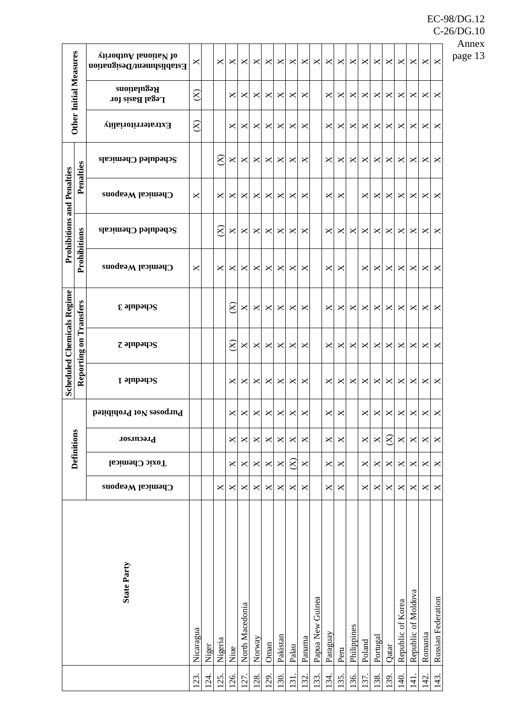| <b>Other Initial Measures</b>     |              | virodiuA lanoiiaV 10<br>Establishment/Designation | ×         |       | ×           | ×         | X               | ×      | ×    | ×        | ×                     | ×      | ×                | ×            | ×    | ×           | ×      | ×        | ×         | ×                 | ×                   | ×       | ×                  |
|-----------------------------------|--------------|---------------------------------------------------|-----------|-------|-------------|-----------|-----------------|--------|------|----------|-----------------------|--------|------------------|--------------|------|-------------|--------|----------|-----------|-------------------|---------------------|---------|--------------------|
|                                   |              | <b>Regulations</b><br>Legal Basis for             | $\otimes$ |       |             | ×         | ×               | ×      | ×    | ×        | ×                     | ×      |                  | ×            | ×    | ×           | ×      | ×        | $\times$  | ×                 | ×                   | ×       | ×                  |
|                                   |              | Extraterritoriality                               | $\otimes$ |       |             | ×         | ×               | ×      | ×    | ×        | ×                     | ×      |                  | ×            | ×    | ×           | ×      | ×        | $\times$  | ×                 | ×                   | ×       | ×                  |
|                                   |              | Scheduled Chemicals                               |           |       | $\otimes$   | ×         | ×               | ×      | ×    | ×        | ×                     | ×      |                  | ×            | ×    | ×           | ×      | ×        | $\times$  | ×                 | ×                   | ×       | ×                  |
| <b>Prohibitions and Penalties</b> | Penalties    | Chemical Weapons                                  | ×         |       | ×           | ×         | ×               | ×      | ×    | ×        | ×                     | ×      |                  | ×            | ×    |             | ×      | ×        | ×         | ×                 | ×                   | ×       | ×                  |
|                                   |              | Scheduled Chemicals                               |           |       | $8^{\circ}$ | $\times$  | ×               | ×      | ×    | ×        | ×                     | ×      |                  | ×            | ×    | ×           | ×      | ×        | $\times$  | ×                 | ×                   | ×       | ×                  |
|                                   | Prohibitions | Chemical Weapons                                  | ×         |       | ×           | ×         | ×               | ×      | ×    | ×        | ×                     | ×      |                  | ×            | ×    |             | ×      | ×        | X         | ×                 | ×                   | ×       | ×                  |
|                                   | Transfers    | $\epsilon$ ə $\mu$ pə $\eta$ s                    |           |       |             | $\otimes$ | ×               | ×      | ×    | ×        | ×                     | ×      |                  | ×            | ×    | ×           | ×      | ×        | $\times$  | ×                 | ×                   | ×       | ×                  |
| <b>Scheduled Chemicals Regime</b> | Reporting on | $z$ ə $np$ əyə $s$                                |           |       |             | $\approx$ | ×               | ×      | ×    | ×        | ×                     | ×      |                  | ×            | ×    | ×           | ×      | ×        | ×         | ×                 | ×                   | ×       | ×                  |
|                                   |              | Schedule 1                                        |           |       |             | ×         | ×               | ×      | ×    | ×        | ×                     | ×      |                  | ×            | ×    | ×           | ×      | ×        | $\times$  | ×                 | ×                   | ×       | ×                  |
|                                   |              | Purposes Not Prohibited                           |           |       |             | ×         | ×               | ×      | ×    | ×        | ×                     | ×      |                  | ×            | ×    |             | ×      | ≍        | ×         | ×                 | ×                   | ×       | ×                  |
| <b>Definitions</b>                |              | Precursor                                         |           |       |             | X         | ×               | ×      | X    | ×        | $\boldsymbol{\times}$ | ×      |                  | $\mathsf{X}$ | X    |             | X      | X        | $\otimes$ | ×                 | X                   | ×       | X                  |
|                                   |              | Toxic Chemical                                    |           |       |             | X         | ×               | X      | ×    | ×        | $\otimes$             | X      |                  | ×            | ×    |             | ×      | ×        | $\times$  | ×                 | ×                   | ×       | ×                  |
|                                   |              | Chemical Weapons                                  |           |       | ×           | X         | ×               | ×      | ×    | ×        | $\pmb{\times}$        | ×      |                  | ×            | ×    |             | ×      | ×        | X         | ×                 | ×                   | ×       | ×                  |
|                                   |              | <b>State Party</b>                                |           |       |             |           | North Macedonia |        |      |          |                       |        | Papua New Guinea |              |      |             |        |          |           | Republic of Korea | Republic of Moldova |         | Russian Federation |
|                                   |              |                                                   | Nicaragua | Niger | Nigeria     | Niue      |                 | Norway | Oman | Pakistan | Palau                 | Panama |                  | Paraguay     | Peru | Philippines | Poland | Portugal | Qatar     |                   |                     | Romania |                    |

C-26/DG.10 Annex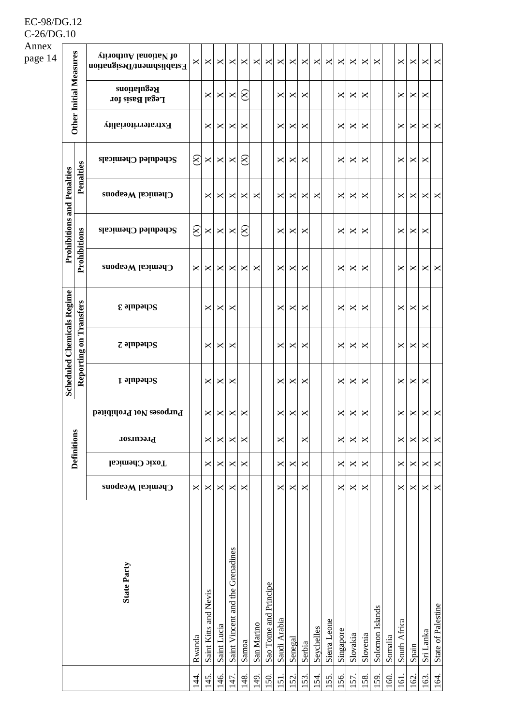| Annex   |                                   |              |                                                   |                                                                                       |                       |                |                                  |                       |            |                       |                 |                |                           |            |              |              |          |            |                 |         |              |       |                |                    |
|---------|-----------------------------------|--------------|---------------------------------------------------|---------------------------------------------------------------------------------------|-----------------------|----------------|----------------------------------|-----------------------|------------|-----------------------|-----------------|----------------|---------------------------|------------|--------------|--------------|----------|------------|-----------------|---------|--------------|-------|----------------|--------------------|
| page 14 |                                   |              | virodiuA lanoiisV to<br>Establishment/Designation | $\mathsf{X}% _{T}=\mathsf{Y}_{T}\!\left( a,b\right) ,\ \mathsf{Y}_{T}=\mathsf{Y}_{T}$ | ×                     | ×              | ×                                | ×                     | ×          | ×                     | ×               | X              | $\pmb{\times}$            | ×          | ×            | $\times$     | ×        | ×          | ×               |         | X            | ×     |                | $\times$ $\times$  |
|         | <b>Other Initial Measures</b>     |              | <b>Regulations</b><br>Legal Basis for             |                                                                                       | ×                     | ×              | ×                                | 8                     |            |                       | ×               | ×              | $\times$                  |            |              | $\times$     | ×        | ×          |                 |         | ×            | ×     | ×              |                    |
|         |                                   |              | Extraterritoriality                               |                                                                                       | ×                     | ×              | ×                                | ×                     |            |                       | ×               | ×              | $\times$                  |            |              | $\times$     | ×        | ×          |                 |         | ×            | ×     | XL             | X                  |
|         |                                   |              | $S$ cheduled Chemicals                            | $\otimes$                                                                             | ×                     | ×              | ×                                | $\otimes$             |            |                       | ×               | ×              | $\times$                  |            |              | ×            | ×        | ×          |                 |         | ×            | ×     | ×              |                    |
|         |                                   | Penalties    | Chemical Weapons                                  |                                                                                       | ×                     | ×              | ×                                | ×                     | ×          |                       | ×               | ×              | ×                         | ×          |              | ×            | ×        | ×          |                 |         | ×            | ×     |                | $\times$ $\times$  |
|         | <b>Prohibitions and Penalties</b> | Prohibitions | Scheduled Chemicals                               | $\infty$                                                                              | ×                     | ×              | ×                                | $\otimes$             |            |                       | ×               | ×              | $\times$                  |            |              | ×            | ×        | ×          |                 |         | ×            | ×     | ×              |                    |
|         |                                   |              | Chemical Weapons                                  | X                                                                                     | ×                     | ×              | ×                                | ×                     | ×          |                       | ×               | ×              | $\times$                  |            |              | X            | ×        | ×          |                 |         | ×            | ×     |                | $\times$ $\times$  |
|         |                                   | Transfers    | $\epsilon$ əlubədə $\epsilon$                     |                                                                                       | ×                     | ×              | ×                                |                       |            |                       | ×               | ×              | ×                         |            |              | ×            | ×        | ×          |                 |         | ×            | ×     | $\times$       |                    |
|         | <b>Scheduled Chemicals Regime</b> | Reporting on | $z$ ə $np$ əyə $s$                                |                                                                                       | ×                     | ×              | ×                                |                       |            |                       | ×               | ×              | $\times$                  |            |              | ×            | ×        | ×          |                 |         | ×            | ×     | ×              |                    |
|         |                                   |              | <b>Schedule 1</b>                                 |                                                                                       | ×                     | ×              | ×                                |                       |            |                       | ×               | X              | $\times$                  |            |              | $\times$     | ×        | ×          |                 |         | ×            | ×     | ×              |                    |
|         |                                   |              | Purposes Not Prohibited                           |                                                                                       | ×                     | ×              | ×                                | ×                     |            |                       | ×               | ×              | ×                         |            |              | ×            | ×        | ×          |                 |         | ×            | ×     | $\bowtie$      | $\mathsf{X}$       |
|         | <b>Definitions</b>                |              | Precursor                                         |                                                                                       | X                     | ×              | ×                                | $\times$              |            |                       | ×               |                | X                         |            |              | $\mathsf{X}$ | ×        | ×          |                 |         | X            | ×     | $\bowtie$      | X                  |
|         |                                   |              | Toxic Chemical                                    |                                                                                       | ×                     | ×              | ×                                | X                     |            |                       | ×               | X              | $\boldsymbol{\mathsf{X}}$ |            |              | X            | ×        | ×          |                 |         | ×            | ×     | ×              | X                  |
|         |                                   |              | Chemical Weapons                                  | X                                                                                     | ×                     | ×              | X                                | $\boldsymbol{\times}$ |            |                       | ×               | X              | $\boldsymbol{\mathsf{X}}$ |            |              | X            | ×        | ×          |                 |         | X            | ×     | $\Join$ $\mid$ | $\mathsf{X}$       |
|         |                                   |              | <b>State Party</b>                                | Rwanda                                                                                | Saint Kitts and Nevis | Saint Lucia    | Saint Vincent and the Grenadines | Samoa                 | San Marino | Sao Tome and Principe | Saudi Arabia    | Senegal        | Serbia                    | Seychelles | Sierra Leone | Singapore    | Slovakia | Slovenia   | Solomon Islands | Somalia | South Africa | Spain | Sri Lanka      | State of Palestine |
|         |                                   |              |                                                   | $\overline{4}$                                                                        | 45                    | $\frac{46}{5}$ | 47                               | 148.                  | 149        | $\overline{50}$       | $\overline{51}$ | $\overline{S}$ | 53.                       | 54.        | 55.          | .56          | 57.      | <b>S8.</b> | <b>SO</b>       | 160     | 161          | 162   | 163.           | 164.               |

EC-98/DG.12 C-26/DG.10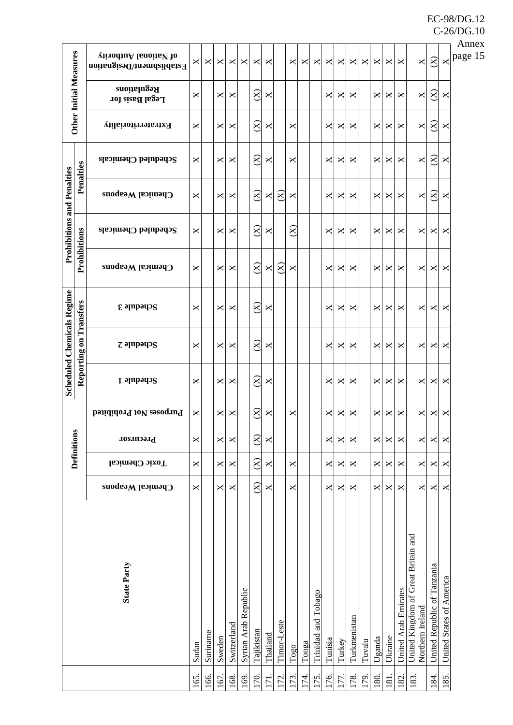|                                   |              |                                                   |     |            |        |             |                      |                     |              |                |               |         |                     |         |                       |              |        |        |                |                      |                                                         |                             |                          | Annex   |
|-----------------------------------|--------------|---------------------------------------------------|-----|------------|--------|-------------|----------------------|---------------------|--------------|----------------|---------------|---------|---------------------|---------|-----------------------|--------------|--------|--------|----------------|----------------------|---------------------------------------------------------|-----------------------------|--------------------------|---------|
| <b>Other Initial Measures</b>     |              | virodiuA lanoiisV to<br>Establishment/Designation |     | ×          | ×      | ×           | ×                    | ×                   | ×            |                | ×             | ×       | ×                   | X       | $\boldsymbol{\times}$ | ×            | ×      | ×      | ×              | ×                    | $\pmb{\times}$                                          | $\otimes$                   | $\mathsf{X}$             | page 15 |
|                                   |              | <b>Regulations</b><br>Legal Basis for             | ×   |            | ×      | ×           |                      | $\otimes$           | ×            |                |               |         |                     | ×       | ×                     | ×            |        | ×      | ×              | ×                    | $\mathsf{X}$                                            | $\widetilde{\mathbf{X}}$    | ×                        |         |
|                                   |              | Extraterritoriality                               | ×   |            | ×      | ×           |                      | $\otimes$           | ×            |                | ×             |         |                     | ×       | ×                     | ×            |        | ×      | ×              | ×                    | X                                                       | $\widetilde{\mathbf{X}}$    | ×                        |         |
| <b>Prohibitions and Penalties</b> |              | Scheduled Chemicals                               | ×   |            | ×      | ×           |                      | $\otimes$           | ×            |                | ×             |         |                     | ×       | ×                     | ×            |        | ×      | ×              | ×                    | $\times$                                                | $\widetilde{\mathbf{X}}$    | ×                        |         |
|                                   | Penalties    | Chemical Weapons                                  | ×   |            | ×ı     | ×           |                      | $\otimes$           | ×            | 8 <sup>o</sup> | ×             |         |                     | ×       | ×                     | ×            |        | ×      | ×              | ×                    | X                                                       | $\otimes$                   | ×                        |         |
|                                   |              | Scheduled Chemicals                               | ×   |            | ×      | ×           |                      | $\otimes$           | ×            |                | $\otimes$     |         |                     | ×       | ×                     | ×            |        | ×      | ×              | ×                    | ×                                                       | ×                           | $\times$                 |         |
|                                   | Prohibitions | Chemical Weapons                                  | ×   |            | ×      | ×           |                      | $\otimes$           | X            | 8 <sup>o</sup> | ×             |         |                     | ×       | ×                     | ×            |        | ×      | ×              | ×                    | X                                                       | ×                           | ×                        |         |
| <b>Scheduled Chemicals Regime</b> | Transfers    | $\epsilon$ əlubədə $\epsilon$                     | ×   |            | ×      | ×           |                      | $\otimes$           | ×            |                |               |         |                     | ×       | ×                     | ×            |        | ×      | $\times$       | ×                    | ×                                                       | ×                           | ×                        |         |
|                                   | Reporting on | $z$ ə $np$ əyə $s$                                | ×   |            | ×      | ×           |                      | $\otimes$           | ×            |                |               |         |                     | ×       | ×                     | ×            |        | ×      | ×              | ×                    | ×                                                       | ×                           | ×                        |         |
|                                   |              | Schedule 1                                        | ×   |            | ×      | ×           |                      | $\otimes$           | $\times$     |                |               |         |                     | ×       | ×                     | ×            |        | ×      | ×              | X                    | ×                                                       | ×                           | ×                        |         |
|                                   |              | Purposes Not Prohibited                           |     |            | ×      | ×           |                      | $\widehat{\otimes}$ | ×            |                | ×             |         |                     | ×       | ×                     | ×            |        | ×      | ×              | ×                    | ×                                                       | ×                           | ×                        |         |
| <b>Definitions</b>                |              | Precursor                                         | X   |            | ×      | X           |                      | $\otimes$           | $\mathsf{X}$ |                |               |         |                     | X       | $\mathsf{X}$          | $\times$     |        | X      | X              | ×                    | $\mathsf{X}$                                            | X                           | $\times$                 |         |
|                                   |              | Toxic Chemical                                    | X   |            | ×      | ×           |                      | $\otimes$           | $\mathsf{X}$ |                | $\times$      |         |                     | X       | ×                     | ×            |        | ×      | ×              | ×                    | X                                                       | X                           | ×                        |         |
|                                   |              | Chemical Weapons                                  | X   |            | ×      | ×           |                      | $\otimes$           | X            |                | $\times$      |         |                     | ×       | ×                     | ×            |        | ×      | ×              | ×                    | ×                                                       | X                           | $\times$                 |         |
| <b>State Party</b>                |              |                                                   |     | Suriname   | Sweden | Switzerland | Syrian Arab Republic | Tajikistan          | Thailand     | Timor-Leste    | $\rm T_{0g0}$ | Tonga   | Trinidad and Tobago | Tunisia | Turkey                | Turkmenistan | Tuvalu | Uganda | Ukraine        | United Arab Emirates | United Kingdom of Great Britain and<br>Northern Ireland | United Republic of Tanzania | United States of America |         |
|                                   |              |                                                   | 165 | <u>66.</u> | 167.   | 168.        | 169                  | 170                 | 171          | 172.           | 173.          | $174$ . | I75                 | 176.    | 177                   | 178.         | 179.   | 180    | $\overline{8}$ | 182                  | 183                                                     | 184                         | 185.                     |         |